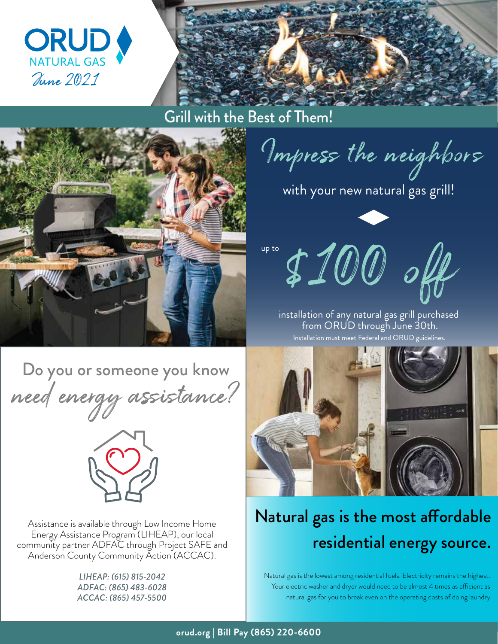

Grill with the Best of Them!



Do you or someone you know need energy assistance?



Assistance is available through Low Income Home Energy Assistance Program (LIHEAP), our local community partner ADFAC through Project SAFE and Anderson County Community Action (ACCAC).

> *LIHEAP: (615) 815-2042 ADFAC: (865) 483-6028 ACCAC: (865) 457-5500*

Impress the neighbors

with your new natural gas grill!

**\$100 of** 

installation of any natural gas grill purchased from ORUD through June 30th.

Installation must meet Federal and ORUD guidelines.

## Natural gas is the most affordable residential energy source.

Natural gas is the lowest among residential fuels. Electricity remains the highest. Your electric washer and dryer would need to be almost 4 times as efficient as natural gas for you to break even on the operating costs of doing laundry.